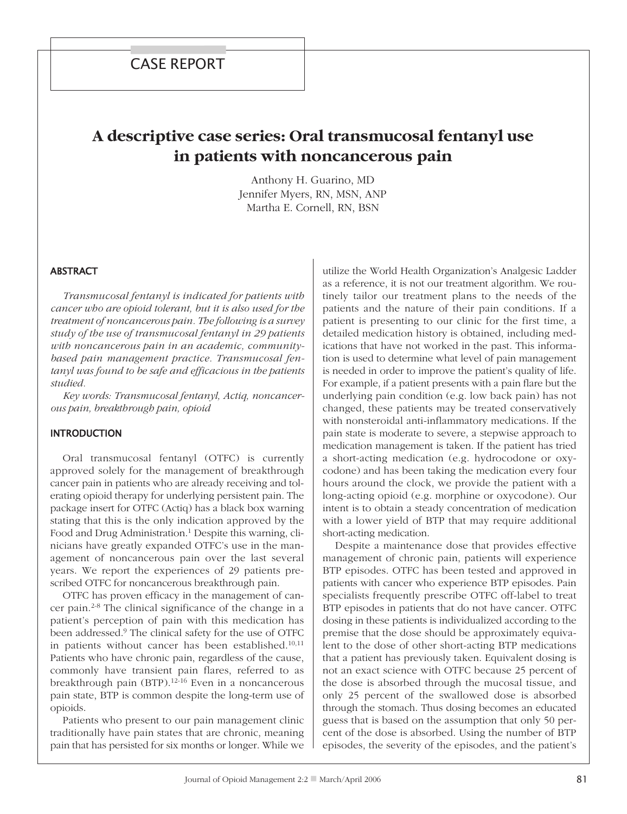# **A descriptive case series: Oral transmucosal fentanyl use in patients with noncancerous pain**

Anthony H. Guarino, MD Jennifer Myers, RN, MSN, ANP Martha E. Cornell, RN, BSN

#### **ABSTRACT**

*Transmucosal fentanyl is indicated for patients with cancer who are opioid tolerant, but it is also used for the treatment of noncancerous pain. The following is a survey study of the use of transmucosal fentanyl in 29 patients with noncancerous pain in an academic, communitybased pain management practice. Transmucosal fentanyl was found to be safe and efficacious in the patients studied.*

*Key words: Transmucosal fentanyl, Actiq, noncancerous pain, breakthrough pain, opioid*

#### **INTRODUCTION**

Oral transmucosal fentanyl (OTFC) is currently approved solely for the management of breakthrough cancer pain in patients who are already receiving and tolerating opioid therapy for underlying persistent pain. The package insert for OTFC (Actiq) has a black box warning stating that this is the only indication approved by the Food and Drug Administration. <sup>1</sup> Despite this warning, clinicians have greatly expanded OTFC's use in the management of noncancerous pain over the last several years. We report the experiences of 29 patients prescribed OTFC for noncancerous breakthrough pain.

OTFC has proven efficacy in the management of cancer pain. 2-8 The clinical significance of the change in a patient's perception of pain with this medication has been addressed. <sup>9</sup> The clinical safety for the use of OTFC in patients without cancer has been established. 10,11 Patients who have chronic pain, regardless of the cause, commonly have transient pain flares, referred to as breakthrough pain (BTP). 12-16 Even in a noncancerous pain state, BTP is common despite the long-term use of opioids.

Patients who present to our pain management clinic traditionally have pain states that are chronic, meaning pain that has persisted for six months or longer. While we utilize the World Health Organization's Analgesic Ladder as a reference, it is not our treatment algorithm. We routinely tailor our treatment plans to the needs of the patients and the nature of their pain conditions. If a patient is presenting to our clinic for the first time, a detailed medication history is obtained, including medications that have not worked in the past. This information is used to determine what level of pain management is needed in order to improve the patient's quality of life. For example, if a patient presents with a pain flare but the underlying pain condition (e.g. low back pain) has not changed, these patients may be treated conservatively with nonsteroidal anti-inflammatory medications. If the pain state is moderate to severe, a stepwise approach to medication management is taken. If the patient has tried a short-acting medication (e.g. hydrocodone or oxycodone) and has been taking the medication every four hours around the clock, we provide the patient with a long-acting opioid (e.g. morphine or oxycodone). Our intent is to obtain a steady concentration of medication with a lower yield of BTP that may require additional short-acting medication.

Despite a maintenance dose that provides effective management of chronic pain, patients will experience BTP episodes. OTFC has been tested and approved in patients with cancer who experience BTP episodes. Pain specialists frequently prescribe OTFC off-label to treat BTP episodes in patients that do not have cancer. OTFC dosing in these patients is individualized according to the premise that the dose should be approximately equivalent to the dose of other short-acting BTP medications that a patient has previously taken. Equivalent dosing is not an exact science with OTFC because 25 percent of the dose is absorbed through the mucosal tissue, and only 25 percent of the swallowed dose is absorbed through the stomach. Thus dosing becomes an educated guess that is based on the assumption that only 50 percent of the dose is absorbed. Using the number of BTP episodes, the severity of the episodes, and the patient's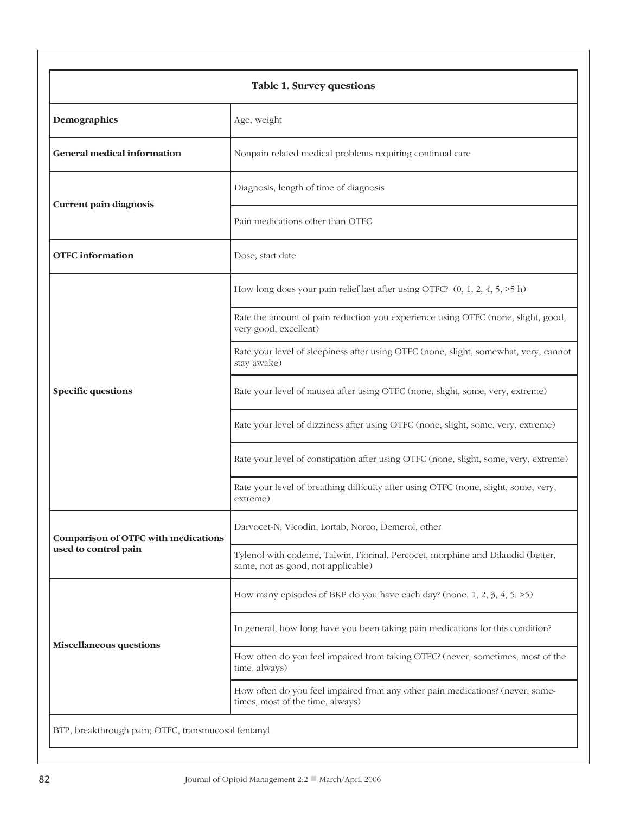| <b>Table 1. Survey questions</b>                    |                                                                                                                        |  |  |  |
|-----------------------------------------------------|------------------------------------------------------------------------------------------------------------------------|--|--|--|
| Demographics                                        | Age, weight                                                                                                            |  |  |  |
| <b>General medical information</b>                  | Nonpain related medical problems requiring continual care                                                              |  |  |  |
| Current pain diagnosis                              | Diagnosis, length of time of diagnosis                                                                                 |  |  |  |
|                                                     | Pain medications other than OTFC                                                                                       |  |  |  |
| <b>OTFC</b> information                             | Dose, start date                                                                                                       |  |  |  |
| <b>Specific questions</b>                           | How long does your pain relief last after using OTFC? $(0, 1, 2, 4, 5, \ge 5 h)$                                       |  |  |  |
|                                                     | Rate the amount of pain reduction you experience using OTFC (none, slight, good,<br>very good, excellent)              |  |  |  |
|                                                     | Rate your level of sleepiness after using OTFC (none, slight, somewhat, very, cannot<br>stay awake)                    |  |  |  |
|                                                     | Rate your level of nausea after using OTFC (none, slight, some, very, extreme)                                         |  |  |  |
|                                                     | Rate your level of dizziness after using OTFC (none, slight, some, very, extreme)                                      |  |  |  |
|                                                     | Rate your level of constipation after using OTFC (none, slight, some, very, extreme)                                   |  |  |  |
|                                                     | Rate your level of breathing difficulty after using OTFC (none, slight, some, very,<br>extreme)                        |  |  |  |
| Comparison of OTFC with medications                 | Darvocet-N, Vicodin, Lortab, Norco, Demerol, other                                                                     |  |  |  |
| used to control pain                                | Tylenol with codeine, Talwin, Fiorinal, Percocet, morphine and Dilaudid (better,<br>same, not as good, not applicable) |  |  |  |
|                                                     | How many episodes of BKP do you have each day? (none, $1, 2, 3, 4, 5, \ge 5$ )                                         |  |  |  |
| <b>Miscellaneous questions</b>                      | In general, how long have you been taking pain medications for this condition?                                         |  |  |  |
|                                                     | How often do you feel impaired from taking OTFC? (never, sometimes, most of the<br>time, always)                       |  |  |  |
|                                                     | How often do you feel impaired from any other pain medications? (never, some-<br>times, most of the time, always)      |  |  |  |
| BTP, breakthrough pain; OTFC, transmucosal fentanyl |                                                                                                                        |  |  |  |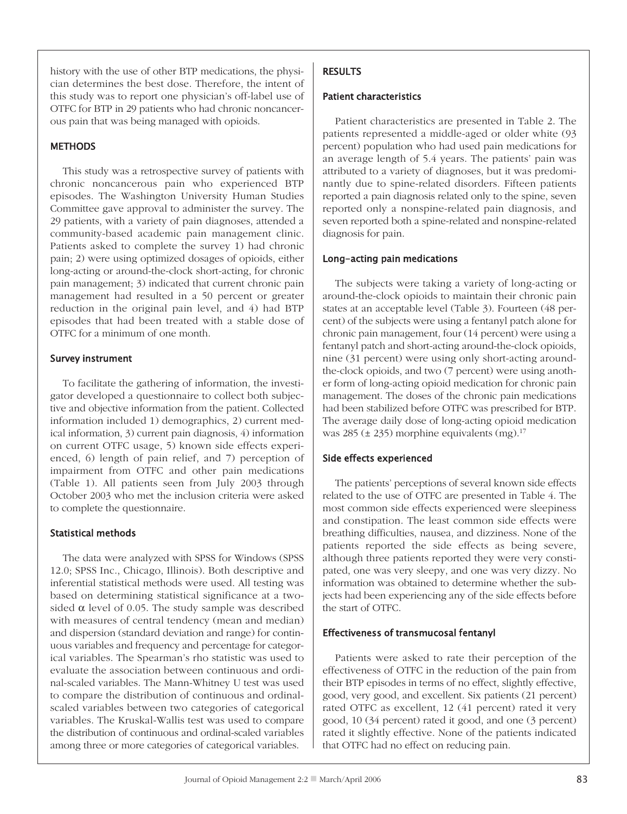history with the use of other BTP medications, the physician determines the best dose. Therefore, the intent of this study was to report one physician's off-label use of OTFC for BTP in 29 patients who had chronic noncancerous pain that was being managed with opioids.

#### **METHODS**

This study was a retrospective survey of patients with chronic noncancerous pain who experienced BTP episodes. The Washington University Human Studies Committee gave approval to administer the survey. The 29 patients, with a variety of pain diagnoses, attended a community-based academic pain management clinic. Patients asked to complete the survey 1) had chronic pain; 2) were using optimized dosages of opioids, either long-acting or around-the-clock short-acting, for chronic pain management; 3) indicated that current chronic pain management had resulted in a 50 percent or greater reduction in the original pain level, and 4) had BTP episodes that had been treated with a stable dose of OTFC for a minimum of one month.

#### survey instrument

To facilitate the gathering of information, the investigator developed a questionnaire to collect both subjective and objective information from the patient. Collected information included 1) demographics, 2) current medical information, 3) current pain diagnosis, 4) information on current OTFC usage, 5) known side effects experienced, 6) length of pain relief, and 7) perception of impairment from OTFC and other pain medications (Table 1). All patients seen from July 2003 through October 2003 who met the inclusion criteria were asked to complete the questionnaire.

#### statistical methods

The data were analyzed with SPSS for Windows (SPSS 12.0; SPSS Inc., Chicago, Illinois). Both descriptive and inferential statistical methods were used. All testing was based on determining statistical significance at a twosided  $\alpha$  level of 0.05. The study sample was described with measures of central tendency (mean and median) and dispersion (standard deviation and range) for continuous variables and frequency and percentage for categorical variables. The Spearman's rho statistic was used to evaluate the association between continuous and ordinal-scaled variables. The Mann-Whitney U test was used to compare the distribution of continuous and ordinalscaled variables between two categories of categorical variables. The Kruskal-Wallis test was used to compare the distribution of continuous and ordinal-scaled variables among three or more categories of categorical variables.

# **RESULTS**

#### patient characteristics

Patient characteristics are presented in Table 2. The patients represented a middle-aged or older white (93 percent) population who had used pain medications for an average length of 5.4 years. The patients' pain was attributed to a variety of diagnoses, but it was predominantly due to spine-related disorders. Fifteen patients reported a pain diagnosis related only to the spine, seven reported only a nonspine-related pain diagnosis, and seven reported both a spine-related and nonspine-related diagnosis for pain.

#### long-acting pain medications

The subjects were taking a variety of long-acting or around-the-clock opioids to maintain their chronic pain states at an acceptable level (Table 3). Fourteen (48 percent) of the subjects were using a fentanyl patch alone for chronic pain management, four (14 percent) were using a fentanyl patch and short-acting around-the-clock opioids, nine (31 percent) were using only short-acting aroundthe-clock opioids, and two (7 percent) were using another form of long-acting opioid medication for chronic pain management. The doses of the chronic pain medications had been stabilized before OTFC was prescribed for BTP. The average daily dose of long-acting opioid medication was 285 (± 235) morphine equivalents (mg). 17

## side effects experienced

The patients' perceptions of several known side effects related to the use of OTFC are presented in Table 4. The most common side effects experienced were sleepiness and constipation. The least common side effects were breathing difficulties, nausea, and dizziness. None of the patients reported the side effects as being severe, although three patients reported they were very constipated, one was very sleepy, and one was very dizzy. No information was obtained to determine whether the subjects had been experiencing any of the side effects before the start of OTFC.

#### effectiveness of transmucosal fentanyl

Patients were asked to rate their perception of the effectiveness of OTFC in the reduction of the pain from their BTP episodes in terms of no effect, slightly effective, good, very good, and excellent. Six patients (21 percent) rated OTFC as excellent, 12 (41 percent) rated it very good, 10 (34 percent) rated it good, and one (3 percent) rated it slightly effective. None of the patients indicated that OTFC had no effect on reducing pain.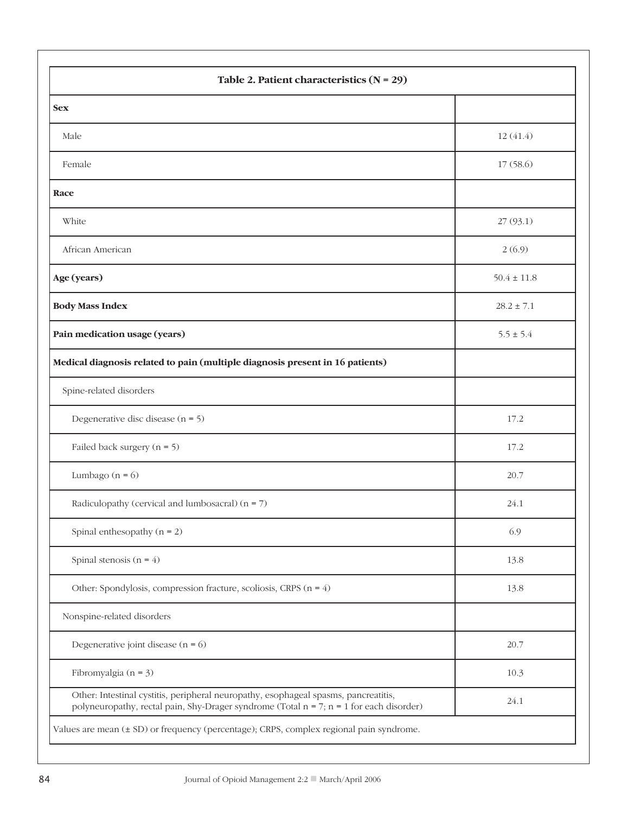| Table 2. Patient characteristics $(N = 29)$                                                                                                                                         |                 |  |  |  |
|-------------------------------------------------------------------------------------------------------------------------------------------------------------------------------------|-----------------|--|--|--|
| <b>Sex</b>                                                                                                                                                                          |                 |  |  |  |
| Male                                                                                                                                                                                | 12(41.4)        |  |  |  |
| Female                                                                                                                                                                              | 17(58.6)        |  |  |  |
| Race                                                                                                                                                                                |                 |  |  |  |
| White                                                                                                                                                                               | 27 (93.1)       |  |  |  |
| African American                                                                                                                                                                    | 2(6.9)          |  |  |  |
| Age (years)                                                                                                                                                                         | $50.4 \pm 11.8$ |  |  |  |
| <b>Body Mass Index</b>                                                                                                                                                              | $28.2 \pm 7.1$  |  |  |  |
| Pain medication usage (years)                                                                                                                                                       | $5.5 \pm 5.4$   |  |  |  |
| Medical diagnosis related to pain (multiple diagnosis present in 16 patients)                                                                                                       |                 |  |  |  |
| Spine-related disorders                                                                                                                                                             |                 |  |  |  |
| Degenerative disc disease $(n = 5)$                                                                                                                                                 | 17.2            |  |  |  |
| Failed back surgery $(n = 5)$                                                                                                                                                       | 17.2            |  |  |  |
| Lumbago ( $n = 6$ )                                                                                                                                                                 | 20.7            |  |  |  |
| Radiculopathy (cervical and lumbosacral) $(n = 7)$                                                                                                                                  | 24.1            |  |  |  |
| Spinal enthesopathy $(n = 2)$                                                                                                                                                       | 6.9             |  |  |  |
| Spinal stenosis $(n = 4)$                                                                                                                                                           | 13.8            |  |  |  |
| Other: Spondylosis, compression fracture, scoliosis, CRPS $(n = 4)$                                                                                                                 | 13.8            |  |  |  |
| Nonspine-related disorders                                                                                                                                                          |                 |  |  |  |
| Degenerative joint disease $(n = 6)$                                                                                                                                                | 20.7            |  |  |  |
| Fibromyalgia ( $n = 3$ )                                                                                                                                                            | 10.3            |  |  |  |
| Other: Intestinal cystitis, peripheral neuropathy, esophageal spasms, pancreatitis,<br>polyneuropathy, rectal pain, Shy-Drager syndrome (Total $n = 7$ ; $n = 1$ for each disorder) | 24.1            |  |  |  |
| Values are mean (± SD) or frequency (percentage); CRPS, complex regional pain syndrome.                                                                                             |                 |  |  |  |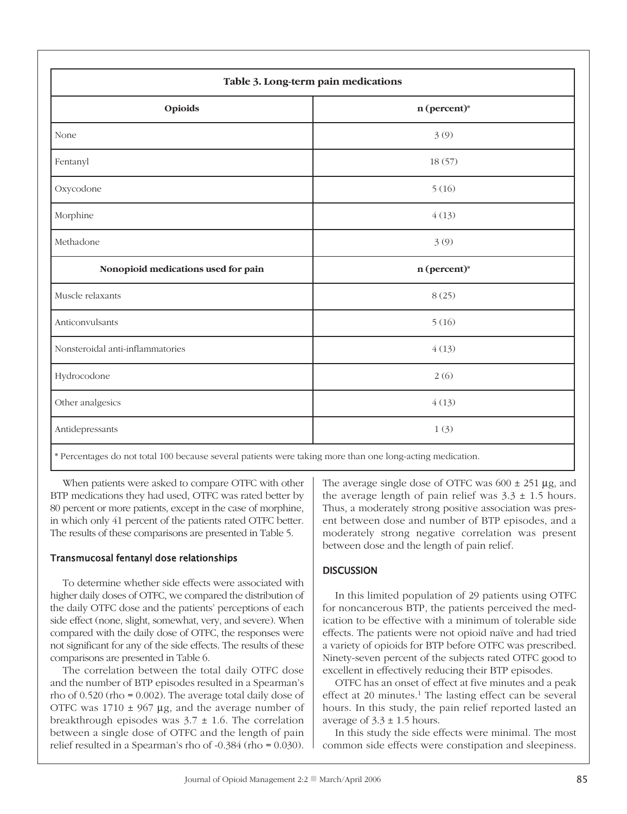| Table 3. Long-term pain medications |                |  |  |
|-------------------------------------|----------------|--|--|
| Opioids                             | $n$ (percent)* |  |  |
| None                                | 3(9)           |  |  |
| Fentanyl                            | 18(57)         |  |  |
| Oxycodone                           | 5(16)          |  |  |
| Morphine                            | 4(13)          |  |  |
| Methadone                           | 3(9)           |  |  |
| Nonopioid medications used for pain | n (percent)*   |  |  |
| Muscle relaxants                    | 8(25)          |  |  |
| Anticonvulsants                     | 5(16)          |  |  |
| Nonsteroidal anti-inflammatories    | 4(13)          |  |  |
| Hydrocodone                         | 2(6)           |  |  |
| Other analgesics                    | 4(13)          |  |  |
| Antidepressants                     | 1(3)           |  |  |

\* Percentages do not total 100 because several patients were taking more than one long-acting medication.

When patients were asked to compare OTFC with other BTP medications they had used, OTFC was rated better by 80 percent or more patients, except in the case of morphine, in which only 41 percent of the patients rated OTFC better. The results of these comparisons are presented in Table 5.

## transmucosal fentanyl dose relationships

To determine whether side effects were associated with higher daily doses of OTFC, we compared the distribution of the daily OTFC dose and the patients' perceptions of each side effect (none, slight, somewhat, very, and severe). When compared with the daily dose of OTFC, the responses were not significant for any of the side effects. The results of these comparisons are presented in Table 6.

The correlation between the total daily OTFC dose and the number of BTP episodes resulted in a Spearman's rho of 0.520 (rho = 0.002). The average total daily dose of OTFC was  $1710 \pm 967$  µg, and the average number of breakthrough episodes was  $3.7 \pm 1.6$ . The correlation between a single dose of OTFC and the length of pain relief resulted in a Spearman's rho of -0.384 (rho = 0.030). The average single dose of OTFC was  $600 \pm 251$  µg, and the average length of pain relief was  $3.3 \pm 1.5$  hours. Thus, a moderately strong positive association was present between dose and number of BTP episodes, and a moderately strong negative correlation was present between dose and the length of pain relief.

## **DISCUSSION**

In this limited population of 29 patients using OTFC for noncancerous BTP, the patients perceived the medication to be effective with a minimum of tolerable side effects. The patients were not opioid naïve and had tried a variety of opioids for BTP before OTFC was prescribed. Ninety-seven percent of the subjects rated OTFC good to excellent in effectively reducing their BTP episodes.

OTFC has an onset of effect at five minutes and a peak effect at 20 minutes. <sup>1</sup> The lasting effect can be several hours. In this study, the pain relief reported lasted an average of  $3.3 \pm 1.5$  hours.

In this study the side effects were minimal. The most common side effects were constipation and sleepiness.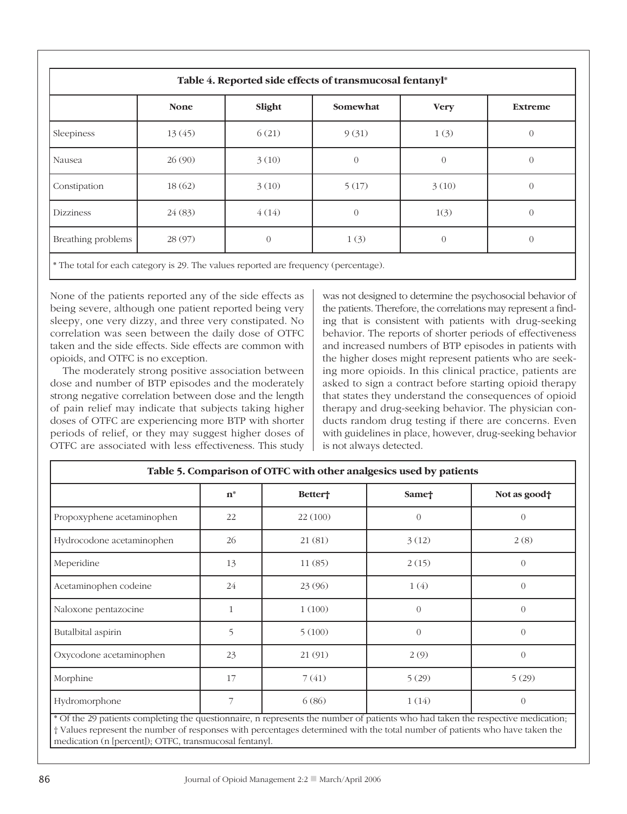| Table 4. Reported side effects of transmucosal fentanyl* |             |          |                |             |                  |
|----------------------------------------------------------|-------------|----------|----------------|-------------|------------------|
|                                                          | <b>None</b> | Slight   | Somewhat       | <b>Very</b> | <b>Extreme</b>   |
| Sleepiness                                               | 13(45)      | 6(21)    | 9(31)          | 1(3)        | $\overline{0}$   |
| Nausea                                                   | 26 (90)     | 3(10)    | $\overline{0}$ | $\Omega$    | $\overline{0}$   |
| Constipation                                             | 18(62)      | 3(10)    | 5(17)          | 3(10)       | $\overline{0}$   |
| <b>Dizziness</b>                                         | 24(83)      | 4(14)    | $\Omega$       | 1(3)        | $\overline{0}$   |
| Breathing problems                                       | 28 (97)     | $\Omega$ | 1(3)           | $\Omega$    | $\left( \right)$ |

\* The total for each category is 29. The values reported are frequency (percentage).

None of the patients reported any of the side effects as being severe, although one patient reported being very sleepy, one very dizzy, and three very constipated. No correlation was seen between the daily dose of OTFC taken and the side effects. Side effects are common with opioids, and OTFC is no exception.

The moderately strong positive association between dose and number of BTP episodes and the moderately strong negative correlation between dose and the length of pain relief may indicate that subjects taking higher doses of OTFC are experiencing more BTP with shorter periods of relief, or they may suggest higher doses of OTFC are associated with less effectiveness. This study was not designed to determine the psychosocial behavior of the patients. Therefore, the correlations may represent a finding that is consistent with patients with drug-seeking behavior. The reports of shorter periods of effectiveness and increased numbers of BTP episodes in patients with the higher doses might represent patients who are seeking more opioids. In this clinical practice, patients are asked to sign a contract before starting opioid therapy that states they understand the consequences of opioid therapy and drug-seeking behavior. The physician conducts random drug testing if there are concerns. Even with guidelines in place, however, drug-seeking behavior is not always detected.

| Table 5. Comparison of OTFC with other analgesics used by patients |       |          |                   |              |  |
|--------------------------------------------------------------------|-------|----------|-------------------|--------------|--|
|                                                                    | $n^*$ | Better†  | Same <sup>+</sup> | Not as good† |  |
| Propoxyphene acetaminophen                                         | 22    | 22 (100) | $\theta$          | $\Omega$     |  |
| Hydrocodone acetaminophen                                          | 26    | 21(81)   | 3(12)             | 2(8)         |  |
| Meperidine                                                         | 13    | 11(85)   | 2(15)             | $\Omega$     |  |
| Acetaminophen codeine                                              | 24    | 23 (96)  | 1(4)              | $\Omega$     |  |
| Naloxone pentazocine                                               | 1     | 1(100)   | $\theta$          | $\Omega$     |  |
| Butalbital aspirin                                                 | 5     | 5(100)   | $\overline{0}$    | $\Omega$     |  |
| Oxycodone acetaminophen                                            | 23    | 21 (91)  | 2(9)              | $\Omega$     |  |
| Morphine                                                           | 17    | 7(41)    | 5(29)             | 5(29)        |  |
| Hydromorphone                                                      | 7     | 6(86)    | 1(14)             | $\Omega$     |  |

\* Of the 29 patients completing the questionnaire, n represents the number of patients who had taken the respective medication; † Values represent the number of responses with percentages determined with the total number of patients who have taken the medication (n [percent]); OTFC, transmucosal fentanyl.